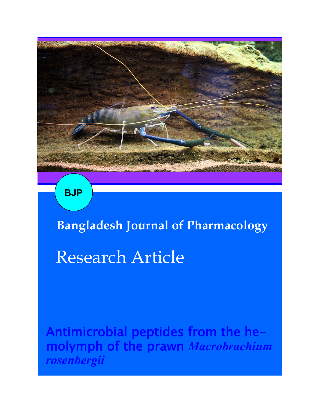

**BJP**

**Bangladesh Journal of Pharmacology**  Research Article

Antimicrobial peptides from the hemolymph of the prawn *Macrobrachium rosenbergii*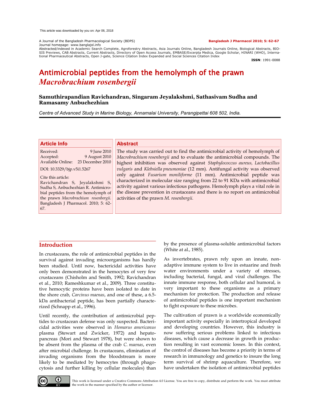A Journal of the Bangladesh Pharmacological Society (BDPS) **Bangladesh J Pharmacol 2010; 5: 62-67** Journal homepage: www.banglajol.info

Abstracted/indexed in Academic Search Complete, Agroforestry Abstracts, Asia Journals Online, Bangladesh Journals Online, Biological Abstracts, BIO-<br>SIS Previews, CAB Abstracts, Current Abstracts, Directory of Open Access tional Pharmaceutical Abstracts, Open J-gate, Science Citation Index Expanded and Social Sciences Citation Index

**ISSN**: 1991-0088

# Antimicrobial peptides from the hemolymph of the prawn *Macrobrachium rosenbergii*

# **Samuthirapandian Ravichandran, Singaram Jeyalakshmi, Sathasivam Sudha and Ramasamy Anbuchezhian**

*Centre of Advanced Study in Marine Biology, Annamalai University, Parangipettai 608 502, India.* 

#### **Article Info**

Received: 9 June 2010 Accepted: 9 August 2010 Available Online: 23 December 2010

DOI: 10.3329/bjp.v5i1.5267

Cite this article: Ravichandran S, Jeyalakshmi S, Sudha S, Anbuchezhian R. Antimicrobial peptides from the hemolymph of the prawn *Macrobrachium rosenbergii.* Bangladesh J Pharmacol. 2010; 5: 62- 67.

#### **Abstract**

The study was carried out to find the antimicrobial activity of hemolymph of *Macrobrachium rosenbergii* and to evaluate the antimicrobial compounds. The highest inhibition was observed against *Staphylococcus aureus, Lactobacillus vulgaris* and *Klebsiella pneumoniae* (12 mm). Antifungal activity was observed only against *Fusarium moniliforme* (11 mm). Antimicrobial peptide was characterized in molecular size ranging from 22 to 91 KDa with antimicrobial activity against various infectious pathogens. Hemolymph plays a vital role in the disease prevention in crustaceans and there is no report on antimicrobial activities of the prawn *M. rosenbergii.*

# **Introduction**

In crustaceans, the role of antimicrobial peptides in the survival against invading microorganisms has hardly been studied. Until now, bactericidal activities have only been demonstrated in the hemocytes of very few crustaceans (Chisholm and Smith, 1992; Ravichandran et al., 2010; Rameshkumar et al., 2009). Three constitutive hemocytic proteins have been isolated to date in the shore crab, *Carcinus maenas*, and one of these, a 6.5 kDa antibacterial peptide, has been partially characterized (Schnapp et al., 1996).

Until recently, the contribution of antimicrobial peptides to crustacean defense was only suspected. Bactericidal activities were observed in *Homarus americanus* plasma (Stewart and Zwicker, 1972) and hepatopancreas (Mori and Stewart 1978), but were shown to be absent from the plasma of the crab *C. maenas*, even after microbial challenge. In crustaceans, elimination of invading organisms from the bloodstream is more likely to be mediated by hemocytes (through phagocytosis and further killing by cellular molecules) than by the presence of plasma-soluble antimicrobial factors (White at al., 1985).

As invertebrates, prawn rely upon an innate, nonadaptive immune system to live in estuarine and fresh water environments under a variety of stresses, including bacterial, fungal, and viral challenges. The innate immune response, both cellular and humoral, is very important to these organisms as a primary mechanism for protection. The production and release of antimicrobial peptides is one important mechanism to fight exposure to these microbes.

The cultivation of prawn is a worldwide economically important activity especially in intertropical developed and developing countries. However, this industry is now suffering serious problems linked to infectious diseases, which cause a decrease in growth in production resulting in vast economic losses. In this context, the control of diseases has become a priority in terms of research in immunology and genetics to insure the long term survival of shrimp aquaculture. Therefore, we have undertaken the isolation of antimicrobial peptides



This work is licensed under a Creative Commons Attribution 4.0 License. You are free to copy, distribute and perform the work. You must attribute the work in the manner specified by the author or licensor.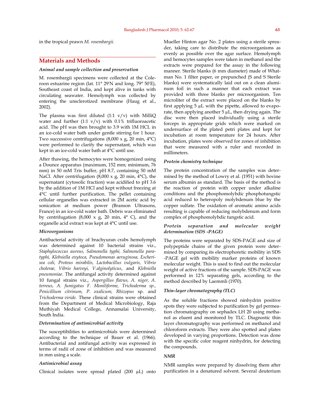in the tropical prawn *M. rosembargii.* 

## **Materials and Methods**

#### *Animal and sample collection and preservation*

M. rosembargii specimens were collected at the Coleroon estuarine region (lat. 11° 29'N and long. 79° 50'E), Southeast coast of India, and kept alive in tanks with circulating seawater. Hemolymph was collected by entering the unsclerotized membrane (Haug et al., 2002).

The plasma was first diluted  $(1:1 \text{ v/v})$  with MilliQ water and further  $(1:1 \text{ v/v})$  with 0.1% trifluoroacetic acid. The pH was then brought to 3.9 with 1M HCL in an ice-cold water bath under gentle stirring for 1 hour. Two successive centrifugations  $(8,000 \times g, 20 \text{ min}, 4^{\circ}\text{C})$ were performed to clarify the supernatant, which was kept in an ice-cold water bath at 4°C until use.

After thawing, the hemocytes were homogenized using a Dounce apparatus (maximum, 152 mm; minimum, 76 mm) in 50 mM Tris buffer, pH 8.7, containing 50 mM NaCl. After centrifugation (8,000 x g, 20 min, 4°C), the supernatant (cytosolic fraction) was acidified to pH 3.6 by the addition of 1M HCl and kept without freezing at 4°C until further purification. The pellet containing cellular organelles was extracted in 2M acetic acid by sonication at medium power (Branson Ultrasons, France) in an ice-cold water bath. Debris was eliminated by centrifugation (8,000 x g, 20 min,  $4^{\circ}$  C), and the organelle acid extract was kept at 4°C until use.

#### *Microorganisms*

Antibacterial activity of brachyuran crabs hemolymph was determined against 10 bacterial strains viz., *Staphylococcus aureus, Salmonella typhi, Salmonella paratyphi, Klebsiella oxytoca, Pseudomonas aeruginosa, Escherisea coli, Proteus mirabilis, Lactobacillus vulgaris, Vibrio cholerae, Vibrio harveyi, V.alginolyticus*, and *Klebsiella pneumoniae*. The antifungal activity determined against 10 fungal strains viz., *Aspergillus flavus, A. niger, A. terreus, A. fumigatus F. Moniliforme, Trichoderma sp., Penicillium citrinum, P. oxalicum, Rhizopus* sp. and *Trichoderma viride*. These clinical strains were obtained from the Department of Medical Microbiology, Raja Muthiyah Medical College, Annamalai University, South India.

#### *Determination of antimicrobial activity*

The susceptibilities to antimicrobials were determined according to the technique of Bauer et al. (1966). Antibacterial and antifungal activity was expressed in terms of radii of zone of inhibition and was measured in mm using a scale.

#### *Antimicrobial assay*

Clinical isolates were spread plated (200 µL) onto

Mueller Hinton agar No. 2 plates using a sterile spreader, taking care to distribute the microorganisms as evenly as possible over the agar surface. Hemolymph and hemocytes samples were taken in methanol and the extracts were prepared for the assay in the following manner. Sterile blanks (6 mm diameter) made of Whatman No. 1 filter paper, or prepunched (S and S Sterile blanks) were systematically laid out on a clean aluminum foil in such a manner that each extract was provided with three blanks per microorganism. Ten microliter of the extract were placed on the blanks by first applying 5 µL with the pipette, allowed to evaporate, then applying another  $5 \mu L$ , then drying again. The disc were then placed individually using a sterile forceps in appropriate grids which were marked on undersurface of the plated petri plates and kept for incubation at room temperature for 24 hours. After incubation, plates were observed for zones of inhibition that were measured with a ruler and recorded in millimeters.

#### *Protein chemistry technique*

The protein concentration of the samples was determined by the method of Lowry et al. (1951) with bovine serum albumin as standard. The basis of the method is the reaction of protein with copper under alkaline conditions and the phosphomolybdic phosphotungstic acid reduced to heteropoly molybdenum blue by the copper sulfate. The oxidation of aromatic amino acids resulting is capable of reducing molybdenum and form complex of phosphomolybdic tungstic acid.

### *Protein separation and molecular weight determination (SDS -PAGE)*

The proteins were separated by SDS-PAGE and size of polypeptide chains of the given protein were determined by comparing its electrophoretic mobility in SDS -PAGE gel with mobility marker proteins of known molecular weight. This is used to find out the molecular weight of active fractions of the sample. SDS-PAGE was performed in 12% separating gels, according to the method described by Laemmli (1970).

#### *Thin-layer chromatography (TLC)*

As the soluble fractions showed ninhydrin positive spots they were subjected to purification by gel permeation chromatography on sephadex LH 20 using methanol as eluent and monitored by TLC. Diagnostic thin layer chromatography was performed on methanol and chloroform extracts. They were also spotted and plates developed in varying proportions. Detection was done with the specific color reagent ninhydrin, for detecting the compounds.

#### *NMR*

NMR samples were prepared by dissolving them after purification in a denatured solvent. Several deuterium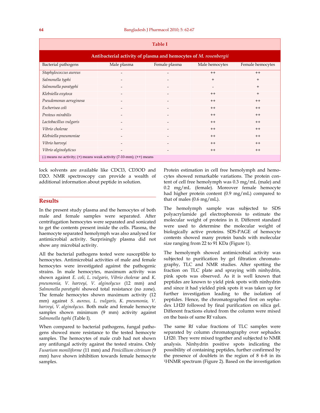| <b>Table I</b>                                                          |                              |                          |                |                  |
|-------------------------------------------------------------------------|------------------------------|--------------------------|----------------|------------------|
| Antibacterial activity of plasma and hemocytes of M. rosenbergii        |                              |                          |                |                  |
| Bacterial pathogens                                                     | Male plasma                  | Female plasma            | Male hemocytes | Female hemocytes |
| Staphylococcus aureus                                                   | $\overline{\phantom{a}}$     | $\overline{\phantom{a}}$ | $++$           | $++$             |
| Salmonella typhi                                                        | $\overline{a}$               |                          | $+$            | $+$              |
| Salmonella paratyphi                                                    |                              |                          |                | $+$              |
| Klebsiella oxytoca                                                      |                              |                          | $++$           | $\ddot{}$        |
| Pseudomonas aeruginosa                                                  |                              |                          | $++$           | $++$             |
| Escherisea coli                                                         |                              |                          | $++$           | $++$             |
| Proteus mirabilis                                                       | $\qquad \qquad \blacksquare$ |                          | $++$           | $++$             |
| Lactobacillus vulgaris                                                  | $\overline{\phantom{a}}$     |                          | $++$           | $++$             |
| Vibrio cholerae                                                         | $\overline{\phantom{0}}$     |                          | $++$           | $++$             |
| Klebsiella pneumoniae                                                   |                              |                          | $++$           | $++$             |
| Vibrio harveyi                                                          |                              |                          | $++$           | $++$             |
| Vibrio alginolyticus                                                    | $\overline{\phantom{a}}$     |                          | $++$           | $++$             |
| (-) means no activity; (+) means weak activity $(7-10-mm)$ ; (++) means |                              |                          |                |                  |

lock solvents are available like CDCl3, CD3OD and D2O. NMR spectroscopy can provide a wealth of additional information about peptide in solution.

# **Results**

In the present study plasma and the hemocytes of both male and female samples were separated. After centrifugation hemocytes were separated and sonicated to get the contents present inside the cells. Plasma, the haemocyte separated hemolymph was also analysed for antimicrobial activity. Surprisingly plasma did not show any microbial activity.

All the bacterial pathogens tested were susceptible to hemocytes. Antimicrobial activities of male and female hemocytes were investigated against the pathogenic strains. In male hemocytes, maximum activity was shown against *E. coli, L. vulgaris, Vibrio cholerae* and *K. pneumonia, V. harveyi, V. alginolycus* (12 mm) and *Salmonella paratyphi* showed total resistance (no zone). The female hemocytes shown maximum activity (12 mm) against *S. aureus, L. vulgaris, K. pneumonia, V. harveyi, V. alginolycus.* Both male and female hemocyte samples shown minimum (9 mm) activity against *Salmonella typhi* (Table I).

When compared to bacterial pathogens, fungal pathogens showed more resistance to the tested hemocyte samples. The hemocytes of male crab had not shown any antifungal activity against the tested strains. Only *Fusarium moniliforme* (11 mm) and *Penicillium citrinum* (9 mm) have shown inhibition towards female hemocyte samples.

Protein estimation in cell free hemolymph and hemocytes showed remarkable variations. The protein content of cell free hemolymph was 0.3 mg/mL (male) and 0.2 mg/mL (female). Moreover female hemocyte had higher protein content (0.9 mg/mL) compared to that of males (0.6 mg/mL).

The hemolymph sample was subjected to SDS polyacrylamide gel electrophoresis to estimate the molecular weight of proteins in it. Different standard were used to determine the molecular weight of biologically active proteins. SDS-PAGE of hemocyte contents showed many protein bands with molecular size ranging from 22 to 91 KDa (Figure 1).

The hemolymph showed antimicrobial activity was subjected to purification by gel filtration chromatography, TLC and NMR studies. After spotting the fraction on TLC plate and spraying with ninhydrin, pink spots was observed. As it is well known that peptides are known to yield pink spots with ninhydrin and since it had yielded pink spots it was taken up for further investigation leading to the isolation of peptides. Hence, the chromatographed first on sephadex LH20 followed by final purification on silica gel. Different fractions eluted from the column were mixed on the basis of same Rf values.

The same Rf value fractions of TLC samples were separated by column chromatography over sephadex LH20. They were mixed together and subjected to NMR analysis. Ninhydrin positive spots indicating the possibility of containing peptides, further confirmed by the presence of doublets in the region of 8 6-8 in its <sup>1</sup>HNMR spectrum (Figure 2). Based on the investigation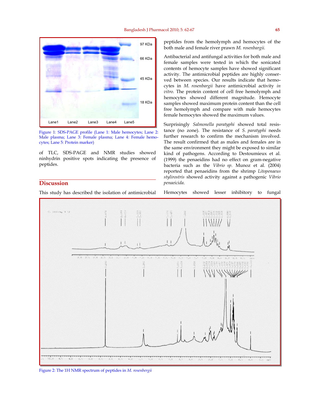

Figure 1: SDS-PAGE profile (Lane 1: Male hemocytes; Lane 2: Male plasma; Lane 3: Female plasma; Lane 4: Female hemocytes; Lane 5: Protein marker)

of TLC, SDS-PAGE and NMR studies showed ninhydrin positive spots indicating the presence of peptides.

# **Discussion**

This study has described the isolation of antimicrobial

peptides from the hemolymph and hemocytes of the both male and female river prawn *M. rosenbargii.*

Antibacterial and antifungal activities for both male and female samples were tested in which the sonicated contents of hemocyte samples have showed significant activity. The antimicrobial peptides are highly conserved between species. Our results indicate that hemocytes in *M. rosenbargii* have antimicrobial activity *in vitro.* The protein content of cell free hemolymph and hemocytes showed different magnitude. Hemocyte samples showed maximum protein content than the cell free hemolymph and compare with male hemocytes female hemocytes showed the maximum values.

Surprisingly *Salmonella paratyphi* showed total resistance (no zone). The resistance of *S. paratyphi* needs further research to confirm the mechanism involved. The result confirmed that as males and females are in the same environment they might be exposed to similar kind of pathogens. According to Destoumieux et al. (1999) the penaeidins had no effect on gram-negative bacteria such as the *Vibrio sp.* Munoz et al. (2004) reported that penaeidins from the shrimp *Litopenaeus stylirostris* showed activity against a pathogenic *Vibrio penaeicida*.

Hemocytes showed lesser inhibitory to fungal



Figure 2: The 1H NMR spectrum of peptides in *M. rosenbergii*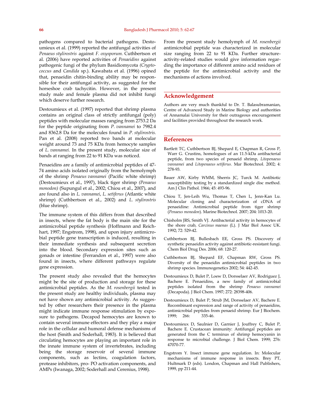pathogens compared to bacterial pathogens. Destoumieux et al. (1999) reported the antifungal activities of *Penaeus stylirostris* against *F. oxysporum.* Cuthbertson et al. (2006) have reported activities of *Penaeidins* against pathogenic fungi of the phylum Basidiomycota *(Cryptococcus* and *Candida* sp.). Kawabata et al. (1996) opined that, penaeidin chitin-binding ability may be responsible for their antifungal activity, as suggested for the horseshoe crab tachycitin. However, in the present study male and female plasma did not inhibit fungi which deserve further research.

Destoumieux et al. (1997) reported that shrimp plasma contains an original class of strictly antifungal (poly) peptides with molecular masses ranging from 2753.2 Da for the peptide originating from *P. vannamei* to 7982.4 and 8362.8 Da for the molecules found in *P. stylirostris.*  Pan et al. (2008) reported two bands at molecular weight around 73 and 75 KDa from hemocyte samples of *L. vannamei.* In the present study, molecular size of bands at ranging from 22 to 91 KDa was noticed.

Penaeidins are a family of antimicrobial peptides of 47- 74 amino acids isolated originally from the hemolymph of the shrimp *Penaeus vannamei* (Pacific white shrimp) (Destoumieux et al., 1997), black tiger shrimp *(Penaeus monodon)* (Supungul et al., 2002; Chiou et al., 2007), and are found also in *L. vannamei*, *L. setiferus* (Atlantic white shrimp) (Cuthbertson et al., 2002) and *L. stylirostris*  (blue shrimp).

The immune system of this differs from that described in insects, where the fat body is the main site for the antimicrobial peptide synthesis (Hoffmann and Reichhart, 1997; Engstrom, 1998), and upon injury antimicrobial peptide gene transcription is induced, resulting in their immediate synthesis and subsequent secretion into the blood. Secondary expression sites such as gonads or intestine (Ferrandon et al., 1997) were also found in insects, where different pathways regulate gene expression.

The present study also revealed that the hemocytes might be the site of production and storage for these antimicrobial peptides. As the *M. rosenbergii* tested in the present study are healthy individuals, plasma may not have shown any antimicrobial activity. As suggested by other researchers their presence in the plasma might indicate immune response stimulation by exposure to pathogens. Decapod hemocytes are known to contain several immune effectors and they play a major role in the cellular and humoral defense mechanisms of the host (Smith and Soderhall, 1983). It is believed that circulating hemocytes are playing an important role in the innate immune system of invertebrates, including being the storage reservoir of several immune components, such as lectins, coagulation factors, protease inhibitors, pro- PO activation components, and AMPs (Iwanaga, 2002; Soderhall and Cerenius, 1998).

From the present study hemolymph of *M. rosenbergii*  antimicrobial peptide was characterized in molecular size ranging from 22 to 91 KDa. Further structureactivity-related studies would give information regarding the importance of different amino acid residues of the peptide for the antimicrobial activity and the mechanisms of actions involved.

### **Acknowledgement**

Authors are very much thankful to Dr. T. Balasubramanian, Centre of Advanced Study in Marine Biology and authorities of Annamalai University for their outrageous encouragement and facilities provided throughout the research work.

#### **References**

- Bartlett TC, Cuthbertson BJ, Shepard E, Chapman R, Gross P, Warr G. Crustins, homologues of an 11.5-kDa antibacterial peptide, from two species of penaeid shrimp, *Litopenaeus vannamei* and *Litopenaeus setiferus.* Mar Biotechnol. 2002; 4: 278-93.
- Bauer AW, Kirby WMM, Sherris JC, Turck M. Antibiotic susceptibility testing by a standardized single disc method. Am J Clin Pathol. 1966; 45: 493-96.
- Chiou T, Jen-Leih Wu, Thomas T, Chen L, Jenn-Kan Lu. Molecular cloning and characterization of cDNA of penaeidine: Antimicrobial peptide from tiger shrimp (*Penaeus monodon*). Marine Biotechnol. 2007; 204: 1013-20.
- Chisholm JRS, Smith VJ. Antibacterial activity in hemocytes of the shore crab, *Carcinus maenas* (L). J Mar Biol Assoc UK. 1992; 72: 529-42.
- Cuthbertson BJ, Bullesbach EE, Gross PS. Discovery of synthetic penaeidin activity against antibiotic-resistant fungi. Chem Biol Drug Des. 2006; 68: 120-27.
- Cuthbertson BJ, Shepard EF, Chapman RW, Gross PS. Diversity of the penaeidin antimicrobial peptides in two shrimp species. Immunogenetics 2002; 54: 442-45.
- Destoumieux D, Bulet P, Loew D, Dorsselaer AV, Rodriguez J, Bachere E. Penaeidins, a new family of antimicrobial peptides isolated from the shrimp *Penaeus vannamei*  (Decapoda). J Biol Chem. 1997; 272: 28398-406.
- Destoumieux D, Bulet P, Strub JM, Dorsselaer AV, Bachere E. Recombinant expression and range of activity of penaeidins, antimicrobial peptides from penaeid shrimp. Eur J Biochem. 1999; 266:
- Destoumieux D, Saulnier D, Garnier J, Jouffrey C, Bulet P, Bachere E. Crustacean immunity: Antifungal peptides are generated from the C terminus of shrimp hemocyanin in response to microbial challenge. J Biol Chem. 1999; 276: 47070-77.
- Engstrom Y. Insect immune gene regulation. In: Molecular mechanisms of immune response in insects. Brey PT, Hultmark D (eds). London, Chapman and Hall Publishers, 1999, pp 211-44.